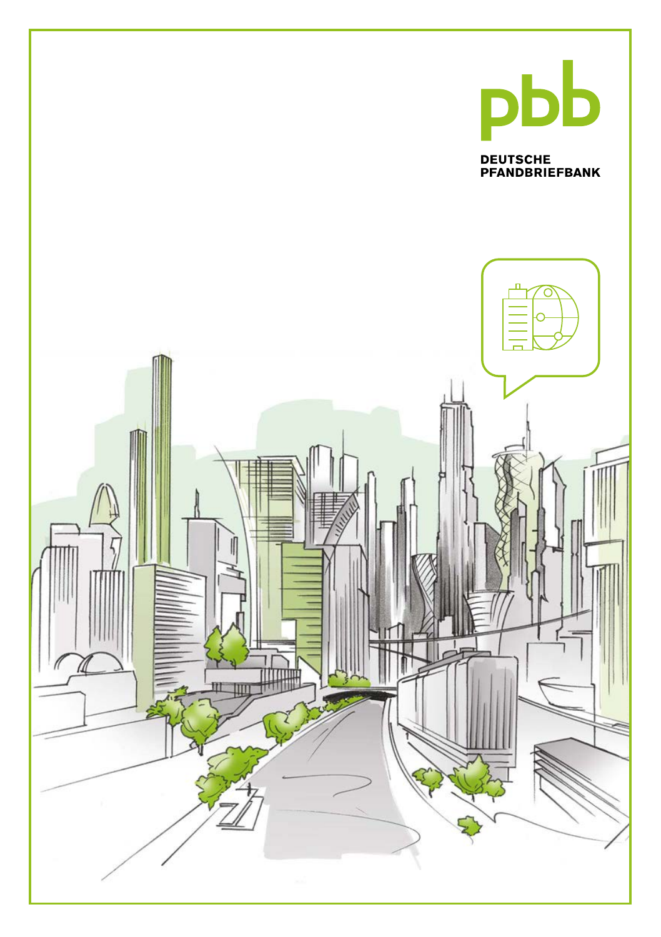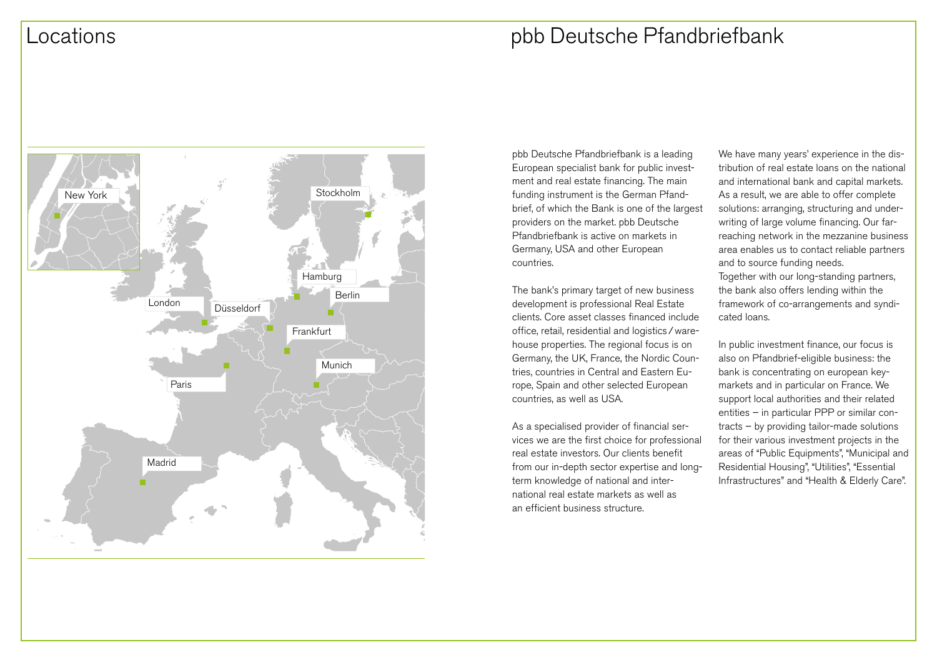## Locations pbb Deutsche Pfandbriefbank



pbb Deutsche Pfandbriefbank is a leading European specialist bank for public investment and real estate financing. The main funding instrument is the German Pfandbrief, of which the Bank is one of the largest providers on the market. pbb Deutsche Pfandbriefbank is active on markets in Germany, USA and other European countries.

The bank's primary target of new business development is professional Real Estate clients. Core asset classes financed include office, retail, residential and logistics/warehouse properties. The regional focus is on Germany, the UK, France, the Nordic Countries, countries in Central and Eastern Europe, Spain and other selected European countries, as well as USA.

As a specialised provider of financial services we are the first choice for professional real estate investors. Our clients benefit from our in-depth sector expertise and longterm knowledge of national and international real estate markets as well as an efficient business structure.

We have many years' experience in the distribution of real estate loans on the national and international bank and capital markets. As a result, we are able to offer complete solutions: arranging, structuring and underwriting of large volume financing. Our farreaching network in the mezzanine business area enables us to contact reliable partners and to source funding needs. Together with our long-standing partners, the bank also offers lending within the framework of co-arrangements and syndicated loans.

In public investment finance, our focus is also on Pfandbrief-eligible business: the bank is concentrating on european keymarkets and in particular on France. We support local authorities and their related entities – in particular PPP or similar contracts – by providing tailor-made solutions for their various investment projects in the areas of "Public Equipments", "Municipal and Residential Housing", "Utilities", "Essential Infrastructures" and "Health & Elderly Care".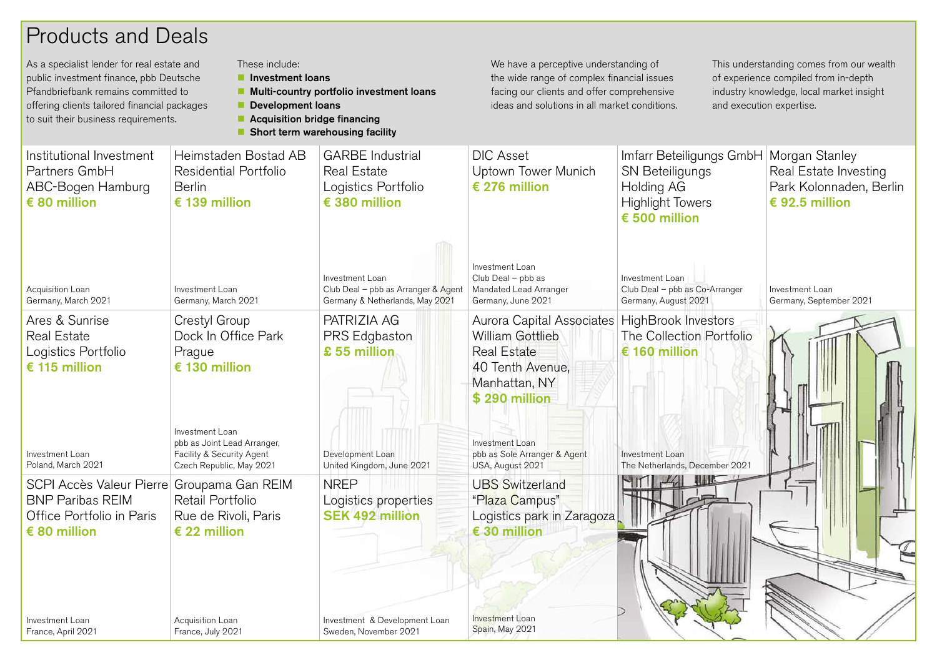# Products and Deals

| These include:<br>As a specialist lender for real estate and<br>public investment finance, pbb Deutsche<br>Investment loans<br>Pfandbriefbank remains committed to<br>offering clients tailored financial packages<br><b>Development loans</b><br>to suit their business requirements.<br>■ Acquisition bridge financing |                                                                                                         | ■ Multi-country portfolio investment loans<br>Short term warehousing facility             | We have a perceptive understanding of<br>the wide range of complex financial issues<br>facing our clients and offer comprehensive<br>ideas and solutions in all market conditions. |                                                                                                       | This understanding comes from our wealth<br>of experience compiled from in-depth<br>industry knowledge, local market insight<br>and execution expertise. |
|--------------------------------------------------------------------------------------------------------------------------------------------------------------------------------------------------------------------------------------------------------------------------------------------------------------------------|---------------------------------------------------------------------------------------------------------|-------------------------------------------------------------------------------------------|------------------------------------------------------------------------------------------------------------------------------------------------------------------------------------|-------------------------------------------------------------------------------------------------------|----------------------------------------------------------------------------------------------------------------------------------------------------------|
| Institutional Investment<br>Partners GmbH<br>ABC-Bogen Hamburg<br>$\epsilon$ 80 million                                                                                                                                                                                                                                  | Heimstaden Bostad AB<br>Residential Portfolio<br><b>Berlin</b><br>€ 139 million                         | <b>GARBE</b> Industrial<br><b>Real Estate</b><br>Logistics Portfolio<br>€ 380 million     | <b>DIC</b> Asset<br>Uptown Tower Munich<br>€ 276 million                                                                                                                           | Imfarr Beteiligungs GmbH<br>SN Beteiligungs<br>Holding AG<br><b>Highlight Towers</b><br>€ 500 million | Morgan Stanley<br>Real Estate Investing<br>Park Kolonnaden, Berlin<br>€ 92.5 million                                                                     |
| Acquisition Loan<br>Germany, March 2021                                                                                                                                                                                                                                                                                  | Investment Loan<br>Germany, March 2021                                                                  | Investment Loan<br>Club Deal - pbb as Arranger & Agent<br>Germany & Netherlands, May 2021 | Investment Loan<br>Club Deal - pbb as<br>Mandated Lead Arranger<br>Germany, June 2021                                                                                              | <b>Investment Loan</b><br>Club Deal - pbb as Co-Arranger<br>Germany, August 2021                      | Investment Loan<br>Germany, September 2021                                                                                                               |
| Ares & Sunrise<br><b>Real Estate</b><br>Logistics Portfolio<br>€ 115 million                                                                                                                                                                                                                                             | Crestyl Group<br>Dock In Office Park<br>Prague<br>€ 130 million                                         | PATRIZIA AG<br>PRS Edgbaston<br>£ 55 million                                              | Aurora Capital Associates<br><b>William Gottlieb</b><br><b>Real Estate</b><br>40 Tenth Avenue,<br>Manhattan, NY<br>\$290 million                                                   | HighBrook Investors<br>The Collection Portfolio<br>€ 160 million                                      |                                                                                                                                                          |
| Investment Loan<br>Poland, March 2021                                                                                                                                                                                                                                                                                    | Investment Loan<br>pbb as Joint Lead Arranger,<br>Facility & Security Agent<br>Czech Republic, May 2021 | Development Loan<br>United Kingdom, June 2021                                             | Investment Loan<br>pbb as Sole Arranger & Agent<br>USA, August 2021                                                                                                                | <b>Investment Loan</b><br>The Netherlands, December 2021                                              |                                                                                                                                                          |
| SCPI Accès Valeur Pierre<br><b>BNP Paribas REIM</b><br>Office Portfolio in Paris<br>€ 80 million                                                                                                                                                                                                                         | Groupama Gan REIM<br>Retail Portfolio<br>Rue de Rivoli, Paris<br>€ 22 million                           | <b>NREP</b><br>Logistics properties<br><b>SEK 492 million</b>                             | <b>UBS Switzerland</b><br>"Plaza Campus"<br>Logistics park in Zaragoza<br>$\epsilon$ 30 million                                                                                    |                                                                                                       |                                                                                                                                                          |
| Investment Loan<br>France, April 2021                                                                                                                                                                                                                                                                                    | Acquisition Loan<br>France, July 2021                                                                   | Investment & Development Loan<br>Sweden, November 2021                                    | <b>Investment Loan</b><br>Spain, May 2021                                                                                                                                          | D                                                                                                     |                                                                                                                                                          |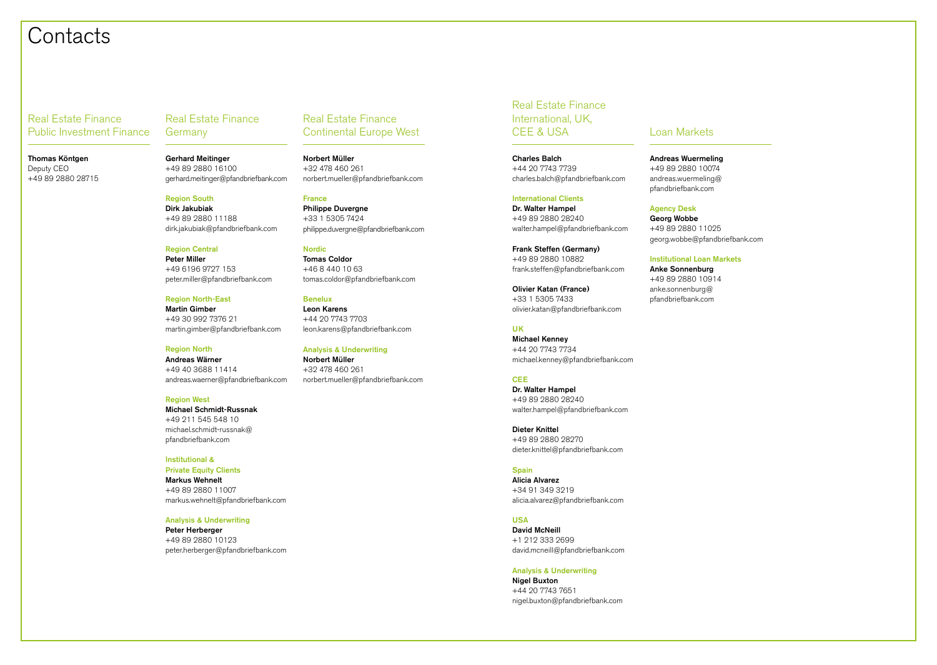## Contacts

Real Estate Finance Public Investment Finance

Thomas Köntgen Deputy CEO +49 89 2880 28715

Real Estate Finance Germany

Gerhard Meitinger +49 89 2880 16100 gerhard.meitinger@pfandbriefbank.com

Region South Dirk Jakubiak +49 89 2880 11188 dirk.jakubiak@pfandbriefbank.com

Region Central Peter Miller +49 6196 9727 153 peter.miller@pfandbriefbank.com

Region North-East Martin Gimber +49 30 992 7376 21 martin.gimber@pfandbriefbank.com

#### Region North Andreas Wärner

+49 40 3688 11414 andreas.waerner@pfandbriefbank.com

#### Region West

Michael Schmidt-Russnak +49 211 545 548 10 michael.schmidt-russnak@ pfandbriefbank.com

#### Institutional &

Private Equity Clients Markus Wehnelt +49 89 2880 11007 markus.wehnelt@pfandbriefbank.com

#### Analysis & Underwriting

Peter Herberger +49 89 2880 10123 peter.herberger@pfandbriefbank.com

### Real Estate Finance Continental Europe West

Norbert Müller +32 478 460 261 norbert.mueller@pfandbriefbank.com

France Philippe Duvergne +33 1 5305 7424 philippe.duvergne@pfandbriefbank.com

Nordic Tomas Coldor +46 8 440 10 63 tomas.coldor@pfandbriefbank.com

Benelux Leon Karens +44 20 7743 7703 leon.karens@pfandbriefbank.com

Analysis & Underwriting Norbert Müller +32 478 460 261 norbert.mueller@pfandbriefbank.com Real Estate Finance International, UK, CFF & USA Loan Markets

Charles Balch +44 20 7743 7739 charles.balch@pfandbriefbank.com

#### International Clients

Dr. Walter Hampel +49 89 2880 28240 walter.hampel@pfandbriefbank.com

Frank Steffen (Germany) +49 89 2880 10882 frank.steffen@pfandbriefbank.com

Olivier Katan (France) +33 1 5305 7433 olivier.katan@pfandbriefbank.com

### UK

Michael Kenney +44 20 7743 7734 michael.kenney@pfandbriefbank.com

#### **CEE**

Dr. Walter Hampel +49 89 2880 28240 walter.hampel@pfandbriefbank.com

Dieter Knittel +49 89 2880 28270 dieter.knittel@pfandbriefbank.com

#### **Spain**

Alicia Alvarez +34 91 349 3219 alicia.alvarez@pfandbriefbank.com

#### USA

David McNeill +1 212 333 2699 david.mcneill@pfandbriefbank.com

#### Analysis & Underwriting

Nigel Buxton +44 20 7743 7651 nigel.buxton@pfandbriefbank.com

Andreas Wuermeling +49 89 2880 10074 andreas.wuermeling@ pfandbriefbank.com

#### Agency Desk

Georg Wobbe +49 89 2880 11025 georg.wobbe@pfandbriefbank.com

#### Institutional Loan Markets

Anke Sonnenburg +49 89 2880 10914 anke.sonnenburg@ pfandbriefbank.com